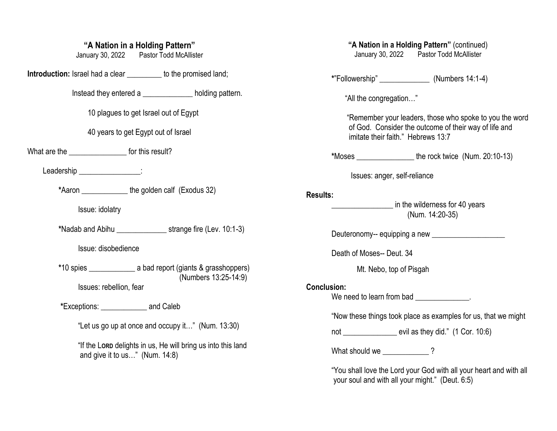## **"A Nation in a Holding Pattern"**

January 30, 2022 Pastor Todd McAllister

**Introduction:** Israel had a clear \_\_\_\_\_\_\_\_\_ to the promised land;

Instead they entered a \_\_\_\_\_\_\_\_\_\_\_\_\_ holding pattern.

10 plagues to get Israel out of Egypt

40 years to get Egypt out of Israel

What are the \_\_\_\_\_\_\_\_\_\_\_\_\_\_\_\_\_\_\_ for this result?

Leadership **Leadership** 

 **\***Aaron \_\_\_\_\_\_\_\_\_\_\_\_ the golden calf (Exodus 32)

Issue: idolatry

**\***Nadab and Abihu \_\_\_\_\_\_\_\_\_\_\_\_\_ strange fire (Lev. 10:1-3)

Issue: disobedience

 **\***10 spies \_\_\_\_\_\_\_\_\_\_\_\_ a bad report (giants & grasshoppers) (Numbers 13:25-14:9) Issues: rebellion, fear

**\***Exceptions: \_\_\_\_\_\_\_\_\_\_\_\_ and Caleb

"Let us go up at once and occupy it…" (Num. 13:30)

"If the L**ORD** delights in us, He will bring us into this land and give it to us…" (Num. 14:8)

# **"A Nation in a Holding Pattern"** (continued)

January 30, 2022 Pastor Todd McAllister

**\***"Followership" \_\_\_\_\_\_\_\_\_\_\_\_\_ (Numbers 14:1-4)

"All the congregation…"

 "Remember your leaders, those who spoke to you the word of God. Consider the outcome of their way of life and imitate their faith." Hebrews 13:7

**\***Moses \_\_\_\_\_\_\_\_\_\_\_\_\_\_\_ the rock twice (Num. 20:10-13)

Issues: anger, self-reliance

#### **Results:**

**Example 2** in the wilderness for 40 years (Num. 14:20-35)

Deuteronomy-- equipping a new \_\_\_\_\_\_\_\_\_\_\_\_\_\_\_\_\_\_\_

Death of Moses-- Deut. 34

Mt. Nebo, top of Pisgah

#### **Conclusion:**

We need to learn from bad  $\blacksquare$ 

"Now these things took place as examples for us, that we might

not \_\_\_\_\_\_\_\_\_\_\_\_\_\_\_\_ evil as they did." (1 Cor. 10:6)

What should we \_\_\_\_\_\_\_\_\_\_\_\_\_?

"You shall love the Lord your God with all your heart and with all your soul and with all your might." (Deut. 6:5)